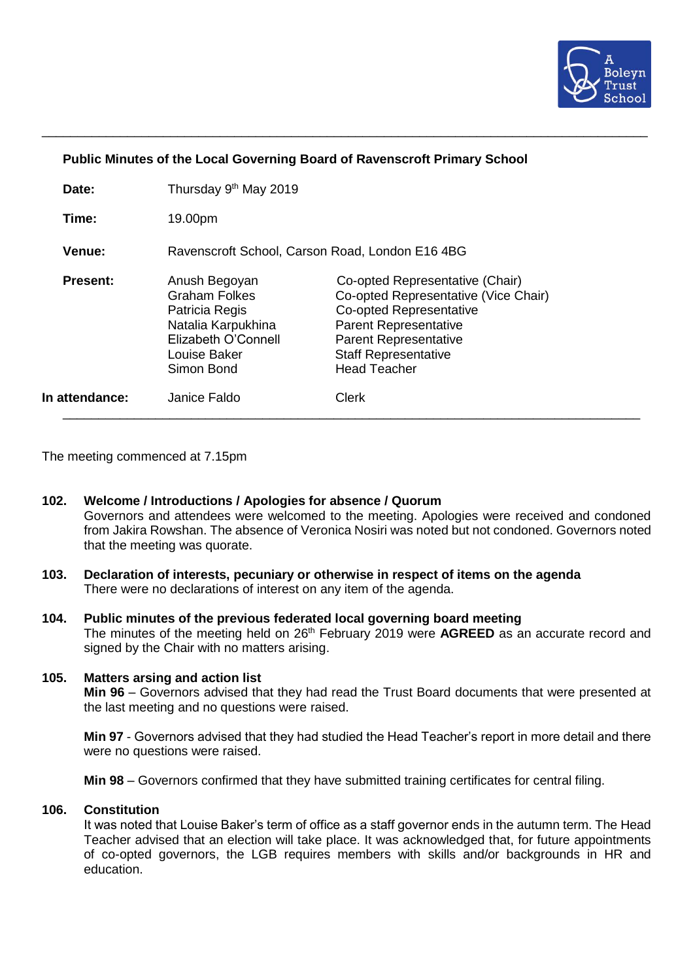

### **Public Minutes of the Local Governing Board of Ravenscroft Primary School**

\_\_\_\_\_\_\_\_\_\_\_\_\_\_\_\_\_\_\_\_\_\_\_\_\_\_\_\_\_\_\_\_\_\_\_\_\_\_\_\_\_\_\_\_\_\_\_\_\_\_\_\_\_\_\_\_\_\_\_\_\_\_\_\_\_\_\_\_\_\_\_\_\_\_\_\_\_\_\_\_\_\_\_\_\_

| Date:           | Thursday 9 <sup>th</sup> May 2019                                                                                                  |                                                                                                                                                                                                                                 |
|-----------------|------------------------------------------------------------------------------------------------------------------------------------|---------------------------------------------------------------------------------------------------------------------------------------------------------------------------------------------------------------------------------|
| Time:           | 19.00pm                                                                                                                            |                                                                                                                                                                                                                                 |
| Venue:          | Ravenscroft School, Carson Road, London E16 4BG                                                                                    |                                                                                                                                                                                                                                 |
| <b>Present:</b> | Anush Begoyan<br><b>Graham Folkes</b><br>Patricia Regis<br>Natalia Karpukhina<br>Elizabeth O'Connell<br>Louise Baker<br>Simon Bond | Co-opted Representative (Chair)<br>Co-opted Representative (Vice Chair)<br><b>Co-opted Representative</b><br><b>Parent Representative</b><br><b>Parent Representative</b><br><b>Staff Representative</b><br><b>Head Teacher</b> |
| In attendance:  | Janice Faldo                                                                                                                       | <b>Clerk</b>                                                                                                                                                                                                                    |

The meeting commenced at 7.15pm

- **102. Welcome / Introductions / Apologies for absence / Quorum** Governors and attendees were welcomed to the meeting. Apologies were received and condoned from Jakira Rowshan. The absence of Veronica Nosiri was noted but not condoned. Governors noted that the meeting was quorate.
- **103. Declaration of interests, pecuniary or otherwise in respect of items on the agenda** There were no declarations of interest on any item of the agenda.
- **104. Public minutes of the previous federated local governing board meeting** The minutes of the meeting held on 26<sup>th</sup> February 2019 were **AGREED** as an accurate record and signed by the Chair with no matters arising.

### **105. Matters arsing and action list**

**Min 96** – Governors advised that they had read the Trust Board documents that were presented at the last meeting and no questions were raised.

**Min 97** - Governors advised that they had studied the Head Teacher's report in more detail and there were no questions were raised.

**Min 98** – Governors confirmed that they have submitted training certificates for central filing.

#### **106. Constitution**

It was noted that Louise Baker's term of office as a staff governor ends in the autumn term. The Head Teacher advised that an election will take place. It was acknowledged that, for future appointments of co-opted governors, the LGB requires members with skills and/or backgrounds in HR and education.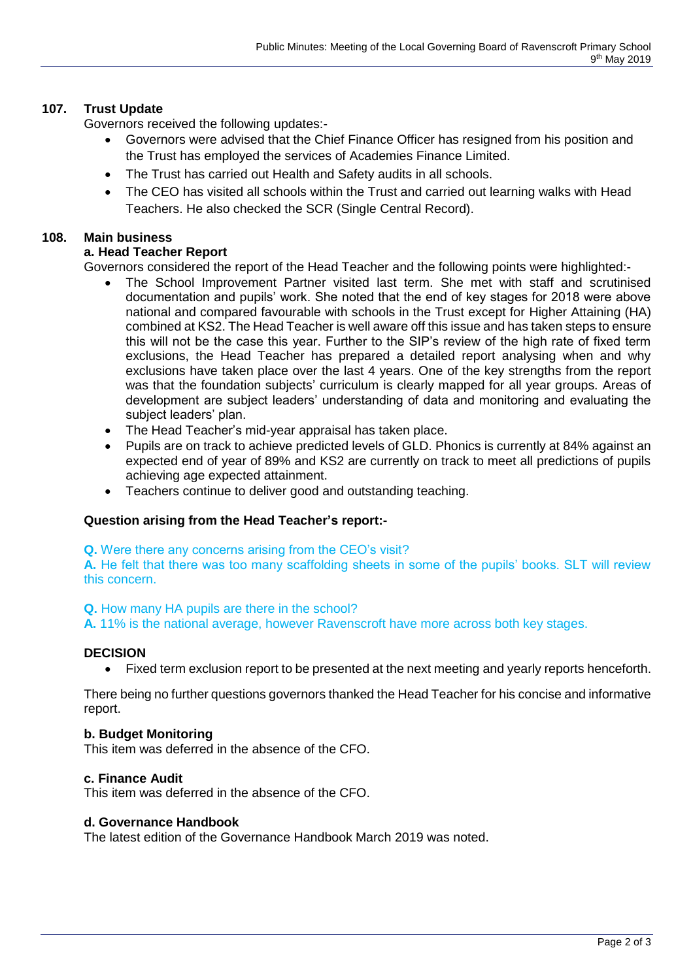# **107. Trust Update**

Governors received the following updates:-

- Governors were advised that the Chief Finance Officer has resigned from his position and the Trust has employed the services of Academies Finance Limited.
- The Trust has carried out Health and Safety audits in all schools.
- The CEO has visited all schools within the Trust and carried out learning walks with Head Teachers. He also checked the SCR (Single Central Record).

# **108. Main business**

# **a. Head Teacher Report**

Governors considered the report of the Head Teacher and the following points were highlighted:-

- The School Improvement Partner visited last term. She met with staff and scrutinised documentation and pupils' work. She noted that the end of key stages for 2018 were above national and compared favourable with schools in the Trust except for Higher Attaining (HA) combined at KS2. The Head Teacher is well aware off this issue and has taken steps to ensure this will not be the case this year. Further to the SIP's review of the high rate of fixed term exclusions, the Head Teacher has prepared a detailed report analysing when and why exclusions have taken place over the last 4 years. One of the key strengths from the report was that the foundation subjects' curriculum is clearly mapped for all year groups. Areas of development are subject leaders' understanding of data and monitoring and evaluating the subject leaders' plan.
- The Head Teacher's mid-year appraisal has taken place.
- Pupils are on track to achieve predicted levels of GLD. Phonics is currently at 84% against an expected end of year of 89% and KS2 are currently on track to meet all predictions of pupils achieving age expected attainment.
- Teachers continue to deliver good and outstanding teaching.

# **Question arising from the Head Teacher's report:-**

**Q.** Were there any concerns arising from the CEO's visit?

**A.** He felt that there was too many scaffolding sheets in some of the pupils' books. SLT will review this concern.

# **Q.** How many HA pupils are there in the school?

**A.** 11% is the national average, however Ravenscroft have more across both key stages.

# **DECISION**

• Fixed term exclusion report to be presented at the next meeting and yearly reports henceforth.

There being no further questions governors thanked the Head Teacher for his concise and informative report.

# **b. Budget Monitoring**

This item was deferred in the absence of the CFO.

# **c. Finance Audit**

This item was deferred in the absence of the CFO.

### **d. Governance Handbook**

The latest edition of the Governance Handbook March 2019 was noted.